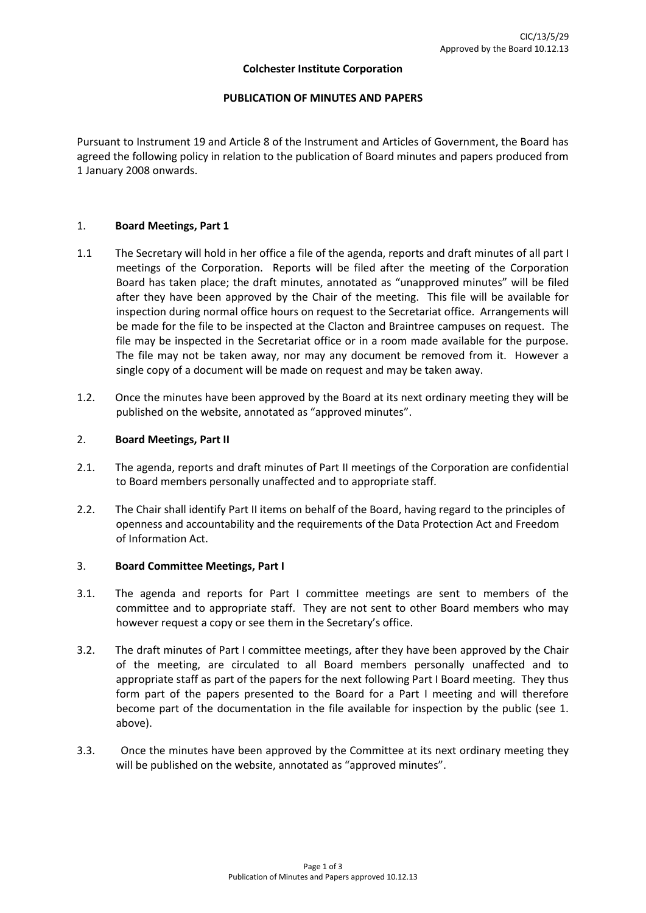#### **Colchester Institute Corporation**

### **PUBLICATION OF MINUTES AND PAPERS**

Pursuant to Instrument 19 and Article 8 of the Instrument and Articles of Government, the Board has agreed the following policy in relation to the publication of Board minutes and papers produced from 1 January 2008 onwards.

### 1. **Board Meetings, Part 1**

- 1.1 The Secretary will hold in her office a file of the agenda, reports and draft minutes of all part I meetings of the Corporation. Reports will be filed after the meeting of the Corporation Board has taken place; the draft minutes, annotated as "unapproved minutes" will be filed after they have been approved by the Chair of the meeting. This file will be available for inspection during normal office hours on request to the Secretariat office. Arrangements will be made for the file to be inspected at the Clacton and Braintree campuses on request. The file may be inspected in the Secretariat office or in a room made available for the purpose. The file may not be taken away, nor may any document be removed from it. However a single copy of a document will be made on request and may be taken away.
- 1.2. Once the minutes have been approved by the Board at its next ordinary meeting they will be published on the website, annotated as "approved minutes".

### 2. **Board Meetings, Part II**

- 2.1. The agenda, reports and draft minutes of Part II meetings of the Corporation are confidential to Board members personally unaffected and to appropriate staff.
- 2.2. The Chair shall identify Part II items on behalf of the Board, having regard to the principles of openness and accountability and the requirements of the Data Protection Act and Freedom of Information Act.

### 3. **Board Committee Meetings, Part I**

- 3.1. The agenda and reports for Part I committee meetings are sent to members of the committee and to appropriate staff. They are not sent to other Board members who may however request a copy or see them in the Secretary's office.
- 3.2. The draft minutes of Part I committee meetings, after they have been approved by the Chair of the meeting, are circulated to all Board members personally unaffected and to appropriate staff as part of the papers for the next following Part I Board meeting. They thus form part of the papers presented to the Board for a Part I meeting and will therefore become part of the documentation in the file available for inspection by the public (see 1. above).
- 3.3. Once the minutes have been approved by the Committee at its next ordinary meeting they will be published on the website, annotated as "approved minutes".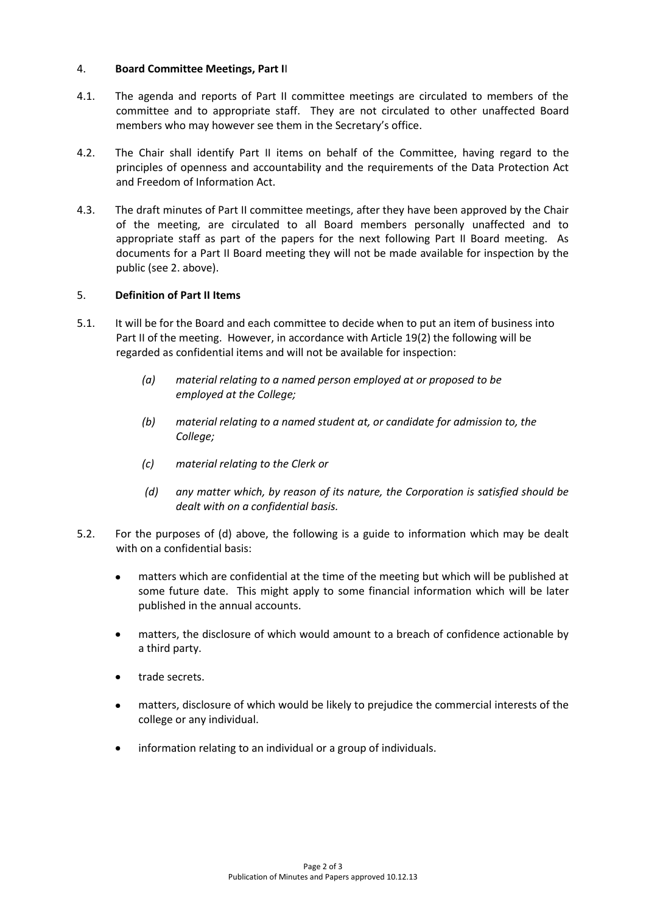## 4. **Board Committee Meetings, Part I**I

- 4.1. The agenda and reports of Part II committee meetings are circulated to members of the committee and to appropriate staff. They are not circulated to other unaffected Board members who may however see them in the Secretary's office.
- 4.2. The Chair shall identify Part II items on behalf of the Committee, having regard to the principles of openness and accountability and the requirements of the Data Protection Act and Freedom of Information Act.
- 4.3. The draft minutes of Part II committee meetings, after they have been approved by the Chair of the meeting, are circulated to all Board members personally unaffected and to appropriate staff as part of the papers for the next following Part II Board meeting. As documents for a Part II Board meeting they will not be made available for inspection by the public (see 2. above).

## 5. **Definition of Part II Items**

- 5.1. It will be for the Board and each committee to decide when to put an item of business into Part II of the meeting. However, in accordance with Article 19(2) the following will be regarded as confidential items and will not be available for inspection:
	- *(a) material relating to a named person employed at or proposed to be employed at the College;*
	- *(b) material relating to a named student at, or candidate for admission to, the College;*
	- *(c) material relating to the Clerk or*
	- *(d) any matter which, by reason of its nature, the Corporation is satisfied should be dealt with on a confidential basis.*
- 5.2. For the purposes of (d) above, the following is a guide to information which may be dealt with on a confidential basis:
	- matters which are confidential at the time of the meeting but which will be published at some future date. This might apply to some financial information which will be later published in the annual accounts.
	- matters, the disclosure of which would amount to a breach of confidence actionable by a third party.
	- trade secrets.
	- matters, disclosure of which would be likely to prejudice the commercial interests of the college or any individual.
	- information relating to an individual or a group of individuals. $\bullet$